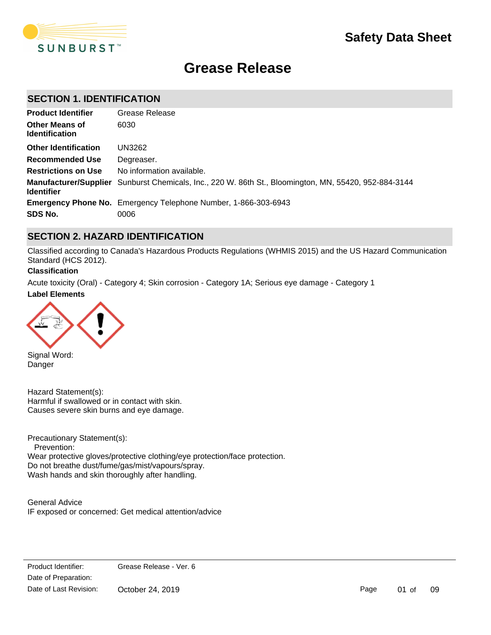

# **Grease Release**

## **SECTION 1. IDENTIFICATION**

| <b>Product Identifier</b>                      | Grease Release                                                                                               |
|------------------------------------------------|--------------------------------------------------------------------------------------------------------------|
| <b>Other Means of</b><br><b>Identification</b> | 6030                                                                                                         |
| <b>Other Identification</b>                    | UN3262                                                                                                       |
| <b>Recommended Use</b>                         | Degreaser.                                                                                                   |
| <b>Restrictions on Use</b>                     | No information available.                                                                                    |
| <b>Identifier</b>                              | <b>Manufacturer/Supplier</b> Sunburst Chemicals, Inc., 220 W. 86th St., Bloomington, MN, 55420, 952-884-3144 |
|                                                | <b>Emergency Phone No.</b> Emergency Telephone Number, 1-866-303-6943                                        |
| SDS No.                                        | 0006                                                                                                         |

## **SECTION 2. HAZARD IDENTIFICATION**

Classified according to Canada's Hazardous Products Regulations (WHMIS 2015) and the US Hazard Communication Standard (HCS 2012).

### **Classification**

**Label Elements** Acute toxicity (Oral) - Category 4; Skin corrosion - Category 1A; Serious eye damage - Category 1



Signal Word: Danger

Hazard Statement(s): Harmful if swallowed or in contact with skin. Causes severe skin burns and eye damage.

Precautionary Statement(s): Prevention: Wear protective gloves/protective clothing/eye protection/face protection. Do not breathe dust/fume/gas/mist/vapours/spray. Wash hands and skin thoroughly after handling.

General Advice IF exposed or concerned: Get medical attention/advice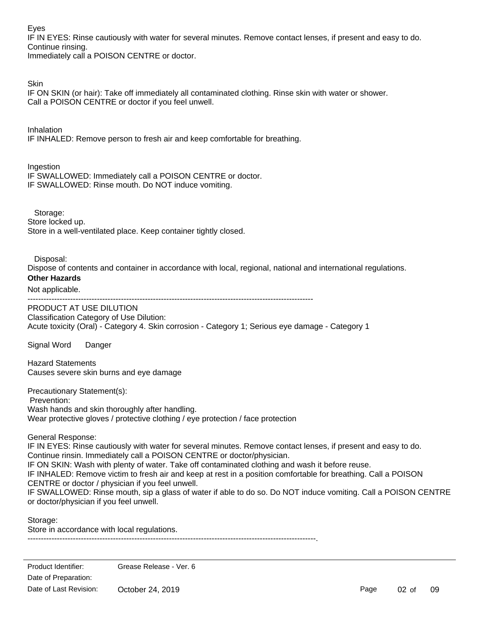Eyes

IF IN EYES: Rinse cautiously with water for several minutes. Remove contact lenses, if present and easy to do. Continue rinsing.

Immediately call a POISON CENTRE or doctor.

**Skin** 

IF ON SKIN (or hair): Take off immediately all contaminated clothing. Rinse skin with water or shower. Call a POISON CENTRE or doctor if you feel unwell.

Inhalation IF INHALED: Remove person to fresh air and keep comfortable for breathing.

Ingestion

IF SWALLOWED: Immediately call a POISON CENTRE or doctor. IF SWALLOWED: Rinse mouth. Do NOT induce vomiting.

 Storage: Store locked up. Store in a well-ventilated place. Keep container tightly closed.

Disposal:

Dispose of contents and container in accordance with local, regional, national and international regulations.

## **Other Hazards**

Not applicable.

-----------------------------------------------------------------------------------------------------------

PRODUCT AT USE DILUTION Classification Category of Use Dilution: Acute toxicity (Oral) - Category 4. Skin corrosion - Category 1; Serious eye damage - Category 1

Signal Word Danger

Hazard Statements Causes severe skin burns and eye damage

Precautionary Statement(s): Prevention: Wash hands and skin thoroughly after handling. Wear protective gloves / protective clothing / eye protection / face protection

General Response:

IF IN EYES: Rinse cautiously with water for several minutes. Remove contact lenses, if present and easy to do. Continue rinsin. Immediately call a POISON CENTRE or doctor/physician. IF ON SKIN: Wash with plenty of water. Take off contaminated clothing and wash it before reuse. IF INHALED: Remove victim to fresh air and keep at rest in a position comfortable for breathing. Call a POISON CENTRE or doctor / physician if you feel unwell. IF SWALLOWED: Rinse mouth, sip a glass of water if able to do so. Do NOT induce vomiting. Call a POISON CENTRE or doctor/physician if you feel unwell.

Storage: Store in accordance with local regulations.

------------------------------------------------------------------------------------------------------------.

Page 02 of 09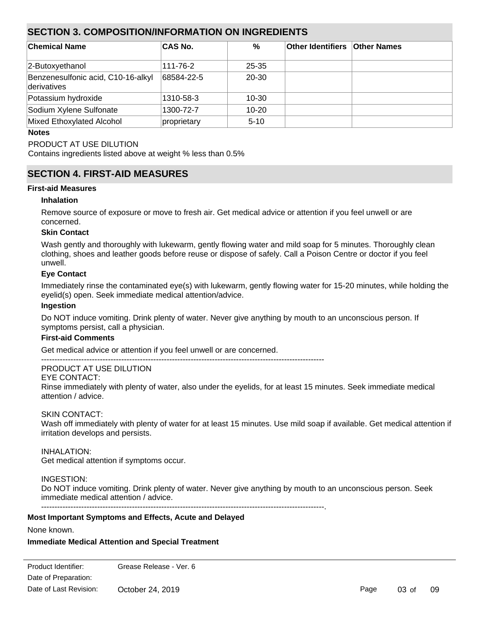## **SECTION 3. COMPOSITION/INFORMATION ON INGREDIENTS**

| ∣Chemical Name                                    | <b>CAS No.</b> | %         | <b>Other Identifiers Other Names</b> |  |
|---------------------------------------------------|----------------|-----------|--------------------------------------|--|
| 2-Butoxyethanol                                   | 111-76-2       | $25 - 35$ |                                      |  |
| Benzenesulfonic acid, C10-16-alkyl<br>derivatives | 68584-22-5     | $20 - 30$ |                                      |  |
| Potassium hydroxide                               | 1310-58-3      | $10 - 30$ |                                      |  |
| Sodium Xylene Sulfonate                           | 1300-72-7      | $10 - 20$ |                                      |  |
| Mixed Ethoxylated Alcohol                         | proprietary    | $5 - 10$  |                                      |  |

#### **Notes**

## PRODUCT AT USE DILUTION

Contains ingredients listed above at weight % less than 0.5%

## **SECTION 4. FIRST-AID MEASURES**

### **First-aid Measures**

### **Inhalation**

Remove source of exposure or move to fresh air. Get medical advice or attention if you feel unwell or are concerned.

### **Skin Contact**

Wash gently and thoroughly with lukewarm, gently flowing water and mild soap for 5 minutes. Thoroughly clean clothing, shoes and leather goods before reuse or dispose of safely. Call a Poison Centre or doctor if you feel unwell.

### **Eye Contact**

Immediately rinse the contaminated eye(s) with lukewarm, gently flowing water for 15-20 minutes, while holding the eyelid(s) open. Seek immediate medical attention/advice.

#### **Ingestion**

Do NOT induce vomiting. Drink plenty of water. Never give anything by mouth to an unconscious person. If symptoms persist, call a physician.

## **First-aid Comments**

Get medical advice or attention if you feel unwell or are concerned.

----------------------------------------------------------------------------------------------------------

## PRODUCT AT USE DILUTION

EYE CONTACT:

Rinse immediately with plenty of water, also under the eyelids, for at least 15 minutes. Seek immediate medical attention / advice.

#### SKIN CONTACT:

Wash off immediately with plenty of water for at least 15 minutes. Use mild soap if available. Get medical attention if irritation develops and persists.

## INHALATION:

Get medical attention if symptoms occur.

## INGESTION:

Do NOT induce vomiting. Drink plenty of water. Never give anything by mouth to an unconscious person. Seek immediate medical attention / advice.

----------------------------------------------------------------------------------------------------------.

#### **Most Important Symptoms and Effects, Acute and Delayed**

None known.

## **Immediate Medical Attention and Special Treatment**

Date of Preparation: Product Identifier: Grease Release - Ver. 6 Date of Last Revision: October 24, 2019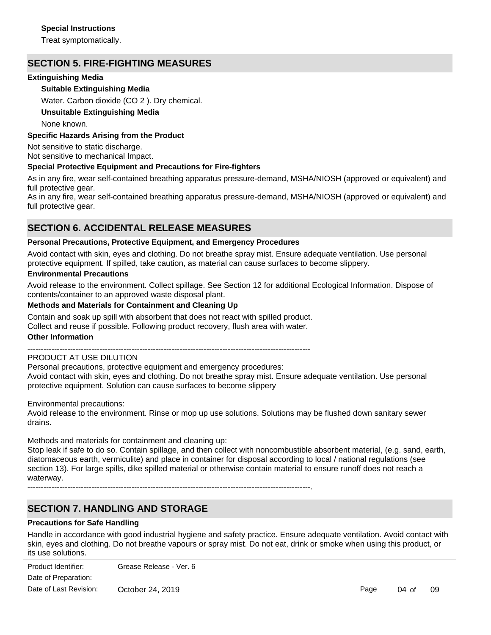### **Special Instructions**

Treat symptomatically.

## **SECTION 5. FIRE-FIGHTING MEASURES**

## **Extinguishing Media**

## **Suitable Extinguishing Media**

Water. Carbon dioxide (CO 2 ). Dry chemical.

### **Unsuitable Extinguishing Media**

None known.

### **Specific Hazards Arising from the Product**

Not sensitive to static discharge. Not sensitive to mechanical Impact.

### **Special Protective Equipment and Precautions for Fire-fighters**

As in any fire, wear self-contained breathing apparatus pressure-demand, MSHA/NIOSH (approved or equivalent) and full protective gear.

As in any fire, wear self-contained breathing apparatus pressure-demand, MSHA/NIOSH (approved or equivalent) and full protective gear.

## **SECTION 6. ACCIDENTAL RELEASE MEASURES**

#### **Personal Precautions, Protective Equipment, and Emergency Procedures**

Avoid contact with skin, eyes and clothing. Do not breathe spray mist. Ensure adequate ventilation. Use personal protective equipment. If spilled, take caution, as material can cause surfaces to become slippery.

#### **Environmental Precautions**

Avoid release to the environment. Collect spillage. See Section 12 for additional Ecological Information. Dispose of contents/container to an approved waste disposal plant.

### **Methods and Materials for Containment and Cleaning Up**

Contain and soak up spill with absorbent that does not react with spilled product. Collect and reuse if possible. Following product recovery, flush area with water.

#### **Other Information**

----------------------------------------------------------------------------------------------------------

## PRODUCT AT USE DILUTION

Personal precautions, protective equipment and emergency procedures: Avoid contact with skin, eyes and clothing. Do not breathe spray mist. Ensure adequate ventilation. Use personal protective equipment. Solution can cause surfaces to become slippery

Environmental precautions:

Avoid release to the environment. Rinse or mop up use solutions. Solutions may be flushed down sanitary sewer drains.

Methods and materials for containment and cleaning up:

Stop leak if safe to do so. Contain spillage, and then collect with noncombustible absorbent material, (e.g. sand, earth, diatomaceous earth, vermiculite) and place in container for disposal according to local / national regulations (see section 13). For large spills, dike spilled material or otherwise contain material to ensure runoff does not reach a waterway.

----------------------------------------------------------------------------------------------------------.

## **SECTION 7. HANDLING AND STORAGE**

#### **Precautions for Safe Handling**

Handle in accordance with good industrial hygiene and safety practice. Ensure adequate ventilation. Avoid contact with skin, eyes and clothing. Do not breathe vapours or spray mist. Do not eat, drink or smoke when using this product, or its use solutions.

Date of Preparation: Product Identifier: Grease Release - Ver. 6 Date of Last Revision: October 24, 2019

Page 04 of 09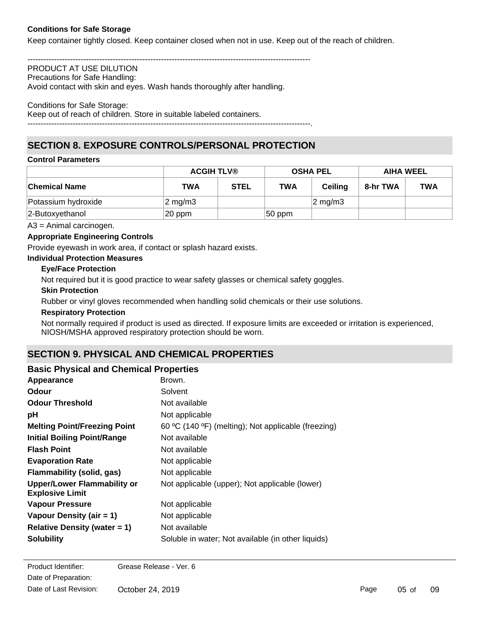## **Conditions for Safe Storage**

Keep container tightly closed. Keep container closed when not in use. Keep out of the reach of children.

----------------------------------------------------------------------------------------------------------

#### PRODUCT AT USE DILUTION Precautions for Safe Handling:

Avoid contact with skin and eyes. Wash hands thoroughly after handling.

#### Conditions for Safe Storage:

Keep out of reach of children. Store in suitable labeled containers.

----------------------------------------------------------------------------------------------------------.

## **SECTION 8. EXPOSURE CONTROLS/PERSONAL PROTECTION**

### **Control Parameters**

|                      | <b>ACGIH TLV®</b>   |             | <b>OSHA PEL</b> |                  | <b>AIHA WEEL</b> |            |
|----------------------|---------------------|-------------|-----------------|------------------|------------------|------------|
| <b>Chemical Name</b> | TWA                 | <b>STEL</b> | <b>TWA</b>      | Ceilina          | 8-hr TWA         | <b>TWA</b> |
| Potassium hydroxide  | $ 2 \text{ mg/m3} $ |             |                 | $2 \text{ mg/m}$ |                  |            |
| 2-Butoxyethanol      | 20 ppm              |             | $ 50$ ppm       |                  |                  |            |

A3 = Animal carcinogen.

### **Appropriate Engineering Controls**

Provide eyewash in work area, if contact or splash hazard exists.

## **Individual Protection Measures**

## **Eye/Face Protection**

Not required but it is good practice to wear safety glasses or chemical safety goggles.

#### **Skin Protection**

Rubber or vinyl gloves recommended when handling solid chemicals or their use solutions.

#### **Respiratory Protection**

Not normally required if product is used as directed. If exposure limits are exceeded or irritation is experienced, NIOSH/MSHA approved respiratory protection should be worn.

## **SECTION 9. PHYSICAL AND CHEMICAL PROPERTIES**

## **Basic Physical and Chemical Properties**

| Appearance                                                   | Brown.                                              |
|--------------------------------------------------------------|-----------------------------------------------------|
| Odour                                                        | Solvent                                             |
| <b>Odour Threshold</b>                                       | Not available                                       |
| рH                                                           | Not applicable                                      |
| <b>Melting Point/Freezing Point</b>                          | 60 °C (140 °F) (melting); Not applicable (freezing) |
| <b>Initial Boiling Point/Range</b>                           | Not available                                       |
| <b>Flash Point</b>                                           | Not available                                       |
| <b>Evaporation Rate</b>                                      | Not applicable                                      |
| Flammability (solid, gas)                                    | Not applicable                                      |
| <b>Upper/Lower Flammability or</b><br><b>Explosive Limit</b> | Not applicable (upper); Not applicable (lower)      |
| <b>Vapour Pressure</b>                                       | Not applicable                                      |
| Vapour Density (air = 1)                                     | Not applicable                                      |
| Relative Density (water $= 1$ )                              | Not available                                       |
| <b>Solubility</b>                                            | Soluble in water; Not available (in other liquids)  |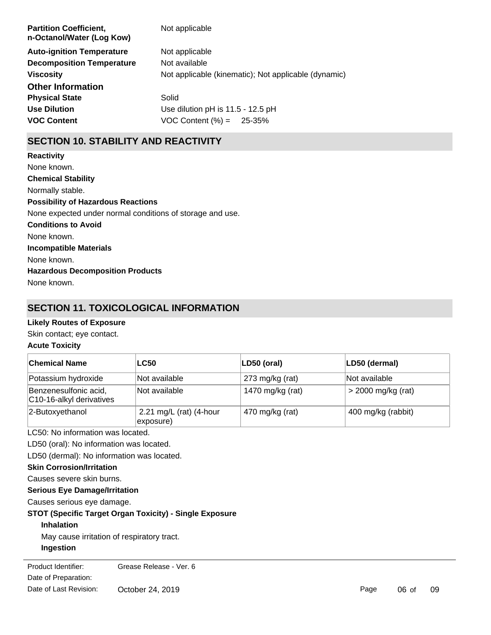| <b>Partition Coefficient,</b><br>n-Octanol/Water (Log Kow) | Not applicable                                       |
|------------------------------------------------------------|------------------------------------------------------|
| <b>Auto-ignition Temperature</b>                           | Not applicable                                       |
| <b>Decomposition Temperature</b>                           | Not available                                        |
| <b>Viscosity</b>                                           | Not applicable (kinematic); Not applicable (dynamic) |
| <b>Other Information</b>                                   |                                                      |
| <b>Physical State</b>                                      | Solid                                                |
| <b>Use Dilution</b>                                        | Use dilution pH is 11.5 - 12.5 pH                    |
| <b>VOC Content</b>                                         | VOC Content $(\% ) = 25-35\%$                        |
|                                                            |                                                      |

## **SECTION 10. STABILITY AND REACTIVITY**

**Chemical Stability** Normally stable. **Conditions to Avoid** None known. **Incompatible Materials** None known. **Hazardous Decomposition Products** None known. **Possibility of Hazardous Reactions** None expected under normal conditions of storage and use. **Reactivity** None known.

## **SECTION 11. TOXICOLOGICAL INFORMATION**

## **Likely Routes of Exposure**

Skin contact; eye contact.

## **Acute Toxicity**

| <b>Chemical Name</b>                                    | <b>LC50</b>                          | LD50 (oral)        | LD50 (dermal)      |  |
|---------------------------------------------------------|--------------------------------------|--------------------|--------------------|--|
| Potassium hydroxide                                     | Not available                        | $273$ mg/kg (rat)  | Not available      |  |
| Benzenesulfonic acid,<br>C10-16-alkyl derivatives       | Not available                        | 1470 mg/kg (rat)   | > 2000 mg/kg (rat) |  |
| 2-Butoxyethanol                                         | 2.21 mg/L (rat) (4-hour<br>exposure) | 400 mg/kg (rabbit) |                    |  |
| LC50: No information was located.                       |                                      |                    |                    |  |
| LD50 (oral): No information was located.                |                                      |                    |                    |  |
| LD50 (dermal): No information was located.              |                                      |                    |                    |  |
| <b>Skin Corrosion/Irritation</b>                        |                                      |                    |                    |  |
| Causes severe skin burns.                               |                                      |                    |                    |  |
| <b>Serious Eye Damage/Irritation</b>                    |                                      |                    |                    |  |
| Causes serious eye damage.                              |                                      |                    |                    |  |
| STOT (Specific Target Organ Toxicity) - Single Exposure |                                      |                    |                    |  |
| <b>Inhalation</b>                                       |                                      |                    |                    |  |
| May cause irritation of respiratory tract.              |                                      |                    |                    |  |
| Ingestion                                               |                                      |                    |                    |  |
| Product Identifier:<br>Date of Preparation:             | Grease Release - Ver. 6              |                    |                    |  |

te or Preparat Date of Last Revision: October 24, 2019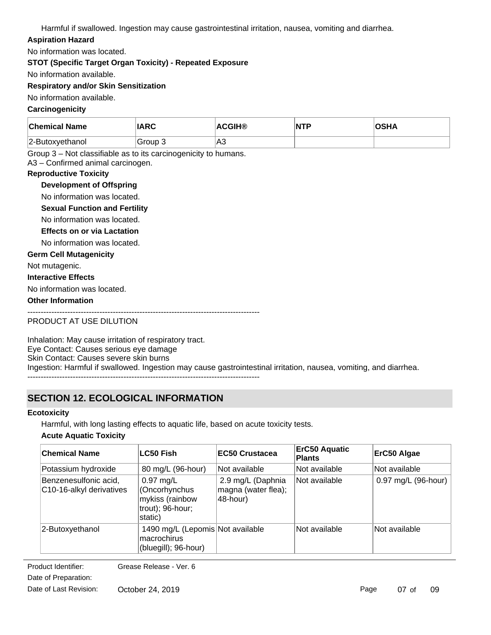Harmful if swallowed. Ingestion may cause gastrointestinal irritation, nausea, vomiting and diarrhea.

## **Aspiration Hazard**

No information was located.

**STOT (Specific Target Organ Toxicity) - Repeated Exposure**

No information available.

## **Respiratory and/or Skin Sensitization**

No information available.

## **Carcinogenicity**

| <b>Chemical Name</b> | IARC    | <b>ACGIH®</b> | NTF | OSHA |
|----------------------|---------|---------------|-----|------|
| 2-Butoxyethanol      | Group 3 | 'A3           |     |      |

Group 3 – Not classifiable as to its carcinogenicity to humans.

A3 – Confirmed animal carcinogen.

### **Reproductive Toxicity**

## **Development of Offspring**

No information was located.

**Sexual Function and Fertility**

No information was located.

## **Effects on or via Lactation**

No information was located.

### **Germ Cell Mutagenicity**

Not mutagenic.

#### **Interactive Effects**

No information was located.

### **Other Information**

---------------------------------------------------------------------------------------

PRODUCT AT USE DILUTION

Inhalation: May cause irritation of respiratory tract. Eye Contact: Causes serious eye damage Skin Contact: Causes severe skin burns Ingestion: Harmful if swallowed. Ingestion may cause gastrointestinal irritation, nausea, vomiting, and diarrhea. ---------------------------------------------------------------------------------------

## **SECTION 12. ECOLOGICAL INFORMATION**

#### **Ecotoxicity**

Harmful, with long lasting effects to aquatic life, based on acute toxicity tests.

## **Acute Aquatic Toxicity**

| <b>Chemical Name</b>                              | <b>LC50 Fish</b>                                                               | <b>IEC50 Crustacea</b>                               | <b>ErC50 Aquatic</b><br><b>Plants</b> | ErC50 Algae         |
|---------------------------------------------------|--------------------------------------------------------------------------------|------------------------------------------------------|---------------------------------------|---------------------|
| Potassium hydroxide                               | 80 mg/L (96-hour)                                                              | Not available                                        | Not available                         | Not available       |
| Benzenesulfonic acid,<br>C10-16-alkyl derivatives | $0.97$ mg/L<br>(Oncorhynchus<br>mykiss (rainbow<br>trout); 96-hour;<br>static) | 2.9 mg/L (Daphnia<br>magna (water flea);<br>48-hour) | Not available                         | 0.97 mg/L (96-hour) |
| 2-Butoxyethanol                                   | 1490 mg/L (Lepomis Not available<br>macrochirus<br>(bluegill); 96-hour)        |                                                      | Not available                         | Not available       |

Date of Preparation: Product Identifier: Grease Release - Ver. 6 Date of Last Revision: October 24, 2019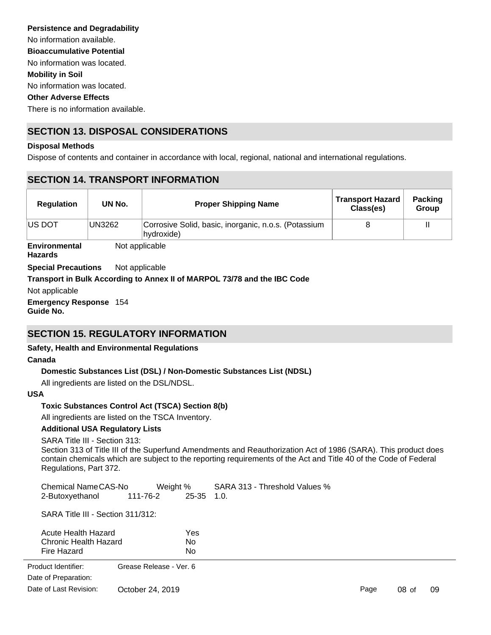No information was located. No information was located. There is no information available. No information available. **Persistence and Degradability Mobility in Soil Other Adverse Effects Bioaccumulative Potential**

## **SECTION 13. DISPOSAL CONSIDERATIONS**

#### **Disposal Methods**

Dispose of contents and container in accordance with local, regional, national and international regulations.

## **SECTION 14. TRANSPORT INFORMATION**

| <b>Regulation</b> | UN No. | <b>Proper Shipping Name</b>                                        | <b>Transport Hazard</b><br>Class(es) | <b>Packing</b><br><b>Group</b> |
|-------------------|--------|--------------------------------------------------------------------|--------------------------------------|--------------------------------|
| <b>IUS DOT</b>    | UN3262 | Corrosive Solid, basic, inorganic, n.o.s. (Potassium<br>hydroxide) |                                      |                                |

**Environmental Hazards** Not applicable

**Special Precautions** Not applicable

## **Transport in Bulk According to Annex II of MARPOL 73/78 and the IBC Code**

Not applicable

**Emergency Response** 154 **Guide No.**

## **SECTION 15. REGULATORY INFORMATION**

## **Safety, Health and Environmental Regulations**

#### **Canada**

## **Domestic Substances List (DSL) / Non-Domestic Substances List (NDSL)**

All ingredients are listed on the DSL/NDSL.

#### **USA**

## **Toxic Substances Control Act (TSCA) Section 8(b)**

All ingredients are listed on the TSCA Inventory.

#### **Additional USA Regulatory Lists**

SARA Title III - Section 313:

Section 313 of Title III of the Superfund Amendments and Reauthorization Act of 1986 (SARA). This product does contain chemicals which are subject to the reporting requirements of the Act and Title 40 of the Code of Federal Regulations, Part 372.

Chemical Name CAS-No Weight % SARA 313 - Threshold Values % 2-Butoxyethanol 111-76-2 25-35 1.0.

SARA Title III - Section 311/312:

| Acute Health Hazard   | Yes |
|-----------------------|-----|
| Chronic Health Hazard | N٥  |
| Fire Hazard           | N٥  |

Sudden Release of Pressure Hazard No Product Identifier: Grease Release - Ver. 6 Date of Last Revision: Date of Preparation: October 24, 2019